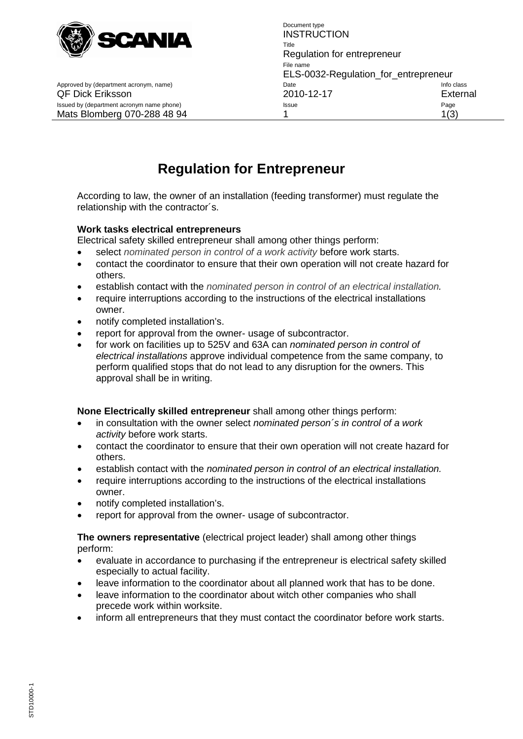

Approved by (department acronym, name) department acronomic control control class Date

Document type **INSTRUCTION** Title Regulation for entrepreneur File name ELS-0032-Regulation\_for\_entrepreneur QF Dick Eriksson 2010-12-17 External Issued by (department acronym name phone) and a state of the Issue Contract of the Page Page Page Mats Blomberg 070-288 48 94 1 1(3)

# **Regulation for Entrepreneur**

According to law, the owner of an installation (feeding transformer) must regulate the relationship with the contractor´s.

#### **Work tasks electrical entrepreneurs**

Electrical safety skilled entrepreneur shall among other things perform:

- select *nominated person in control of a work activity* before work starts.
- contact the coordinator to ensure that their own operation will not create hazard for others.
- establish contact with the *nominated person in control of an electrical installation.*
- require interruptions according to the instructions of the electrical installations owner.
- notify completed installation's.
- report for approval from the owner- usage of subcontractor.
- for work on facilities up to 525V and 63A can *nominated person in control of electrical installations* approve individual competence from the same company, to perform qualified stops that do not lead to any disruption for the owners. This approval shall be in writing.

#### **None Electrically skilled entrepreneur** shall among other things perform:

- in consultation with the owner select *nominated person´s in control of a work activity* before work starts.
- contact the coordinator to ensure that their own operation will not create hazard for others.
- establish contact with the *nominated person in control of an electrical installation.*
- require interruptions according to the instructions of the electrical installations owner.
- notify completed installation's.
- report for approval from the owner- usage of subcontractor.

#### **The owners representative** (electrical project leader) shall among other things perform:

- evaluate in accordance to purchasing if the entrepreneur is electrical safety skilled especially to actual facility.
- leave information to the coordinator about all planned work that has to be done.
- leave information to the coordinator about witch other companies who shall precede work within worksite.
- inform all entrepreneurs that they must contact the coordinator before work starts.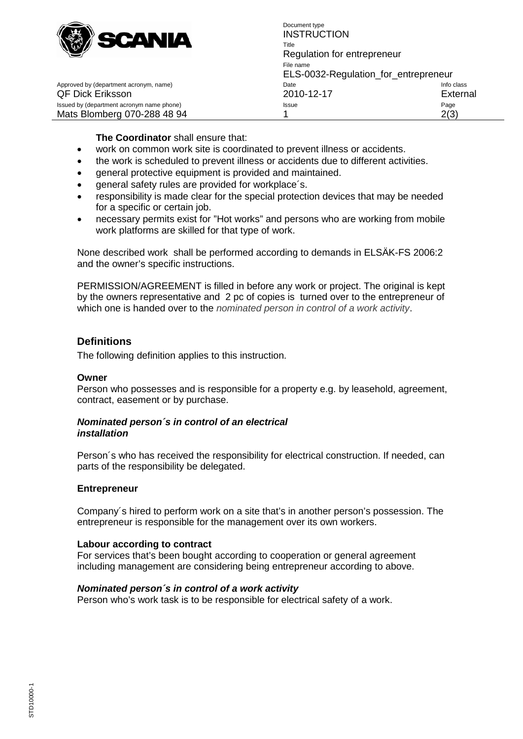

Document type **INSTRUCTION** Title Regulation for entrepreneur File name ELS-0032-Regulation\_for\_entrepreneur QF Dick Eriksson 2010-12-17 External Issued by (department acronym name phone) example according to the state of the Page Page Page Mats Blomberg 070-288 48 94 1 1 2(3)

Approved by (department acronym, name) department acronomic control control class Date

#### **The Coordinator** shall ensure that:

- work on common work site is coordinated to prevent illness or accidents.
- the work is scheduled to prevent illness or accidents due to different activities.
- general protective equipment is provided and maintained.
- general safety rules are provided for workplace's.
- responsibility is made clear for the special protection devices that may be needed for a specific or certain job.
- necessary permits exist for "Hot works" and persons who are working from mobile work platforms are skilled for that type of work.

None described work shall be performed according to demands in ELSÄK-FS 2006:2 and the owner's specific instructions.

PERMISSION/AGREEMENT is filled in before any work or project. The original is kept by the owners representative and 2 pc of copies is turned over to the entrepreneur of which one is handed over to the *nominated person in control of a work activity*.

## **Definitions**

The following definition applies to this instruction.

#### **Owner**

Person who possesses and is responsible for a property e.g. by leasehold, agreement, contract, easement or by purchase.

#### *Nominated person´s in control of an electrical installation*

Person´s who has received the responsibility for electrical construction. If needed, can parts of the responsibility be delegated.

#### **Entrepreneur**

Company´s hired to perform work on a site that's in another person's possession. The entrepreneur is responsible for the management over its own workers.

#### **Labour according to contract**

For services that's been bought according to cooperation or general agreement including management are considering being entrepreneur according to above.

### *Nominated person´s in control of a work activity*

Person who's work task is to be responsible for electrical safety of a work.